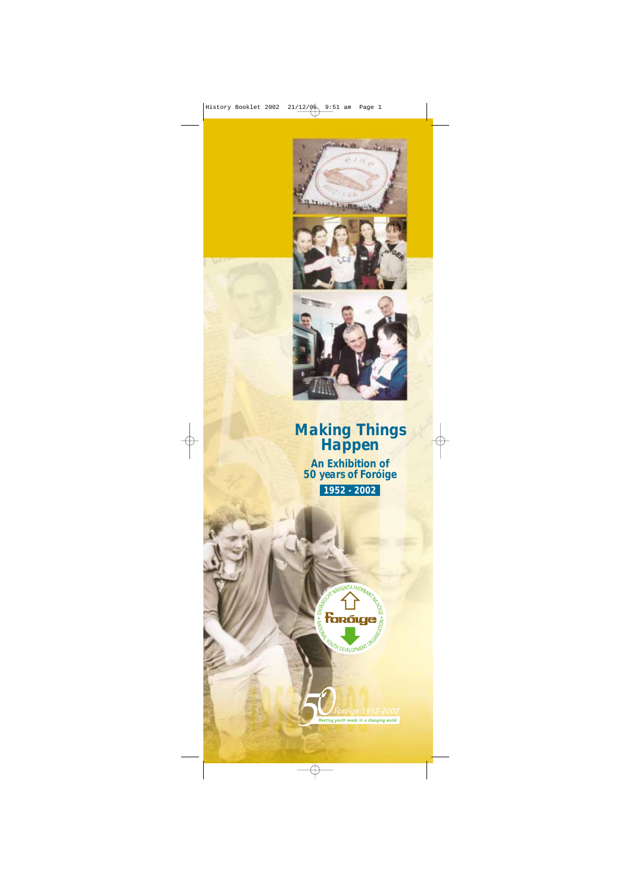



# *Making Things Happen An Exhibition of 50 years of Foróige*

*1952 - 2002*



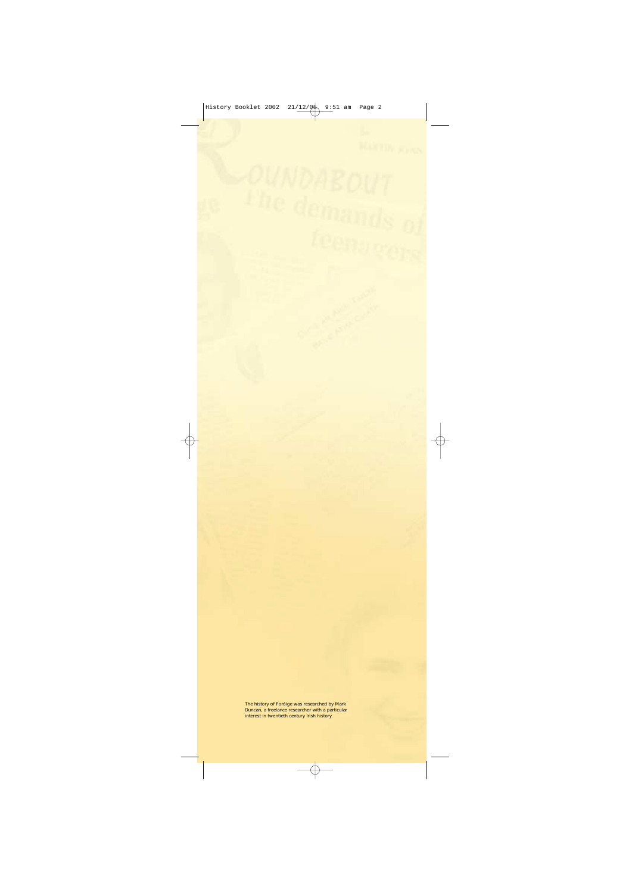The history of Foróige was researched by Mark Duncan, a freelance researcher with a particular interest in twentieth century Irish history.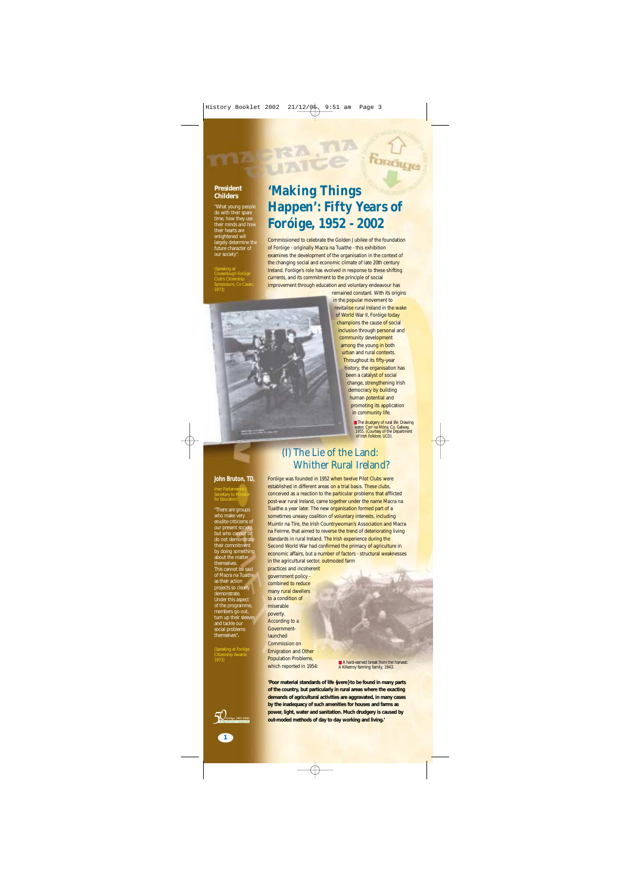### **President Childers**

"What young people do with their spare time, how they use their minds and how their hearts are enlightened will largely determine the future character of our society

(Speaking at Crosserlough Foróige Club's Citizenship Symposium, Co Cavan,

# **'Making Things Happen': Fifty Years of Foróige, 1952 - 2002**

Commissioned to celebrate the Golden Jubilee of the foundation of Foróige - originally Macra na Tuaithe - this exhibition examines the development of the organisation in the context of the changing social and economic climate of late 20th century Ireland. Foróige's role has evolved in response to these shifting currents, and its commitment to the principle of social improvement through education and voluntary endeavour has

> remained constant. With its origins in the popular movement to revitalise rural Ireland in the wake of World War II, Foróige today champions the cause of social inclusion through personal and community development among the young in both urban and rural contexts. Throughout its fifty-year history, the organisation has been a catalyst of social change, strengthening Irish democracy by building human potential and promoting its application in community life.

> > ■ The drudgery of rural life: Drawing water, Corr na Móna, Co. Galway, 1955. (Courtesy of the Department of Irish Folklore, UCD).

### **John Bruton, TD,**

then Parliamentary Secretary to Minister for Education.

"There are groups who make very erudite criticisms of our present socie but who cannot or do not demonstrate their commitment by doing something about the matter themselves. This cannot be said of Macra na Tuaithe as their action projects so clearly demonstrate. Under this aspect of the programme, members go out, turn up their sleeves and tackle our social problems themselves" .

(Speaking at Foróige<br>Citizenship Awards



**1**

## (I) The Lie of the Land: Whither Rural Ireland?

Foróige was founded in 1952 when twelve Pilot Clubs were established in different areas on a trial basis. These clubs, conceived as a reaction to the particular problems that afflicted post-war rural Ireland, came together under the name Macra na Tuaithe a year later. The new organisation formed part of a sometimes uneasy coalition of voluntary interests, including Muintir na Tíre, the Irish Countrywoman's Association and Macra na Feirme, that aimed to reverse the trend of deteriorating living standards in rural Ireland. The Irish experience during the Second World War had confirmed the primacy of agriculture in economic affairs, but a number of factors - structural weaknesses in the agricultural sector, outmoded farm practices and incoherent

government policy combined to reduce many rural dwellers to a condition of miserable poverty. According to a Governmentlaunched Commission on Emigration and Other Population Problems, which reported in 1954:

A hard-earned break from the harvest:<br>A Kilkenny farming family, 1943.

*'Poor material standards of life {were} to be found in many parts of the country, but particularly in rural areas where the exacting demands of agricultural activities are aggravated, in many cases by the inadequacy of such amenities for houses and farms as power, light, water and sanitation. Much drudgery is caused by out-moded in 1954: out-moded in 1954: out-moded methods of life (were) to be found in many parts of the country, but particularly in rural areas where the exacting demands of agricultural activities are aggravate*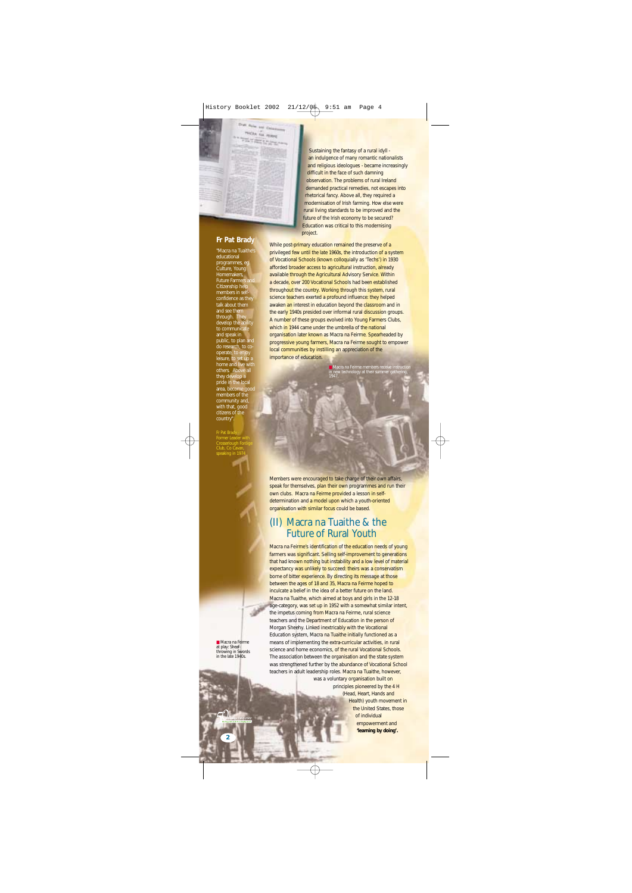Sustaining the fantasy of a rural idyll an indulgence of many romantic nationalists and religious ideologues - became increasingly difficult in the face of such damning observation. The problems of rural Ireland demanded practical remedies, not escapes into rhetorical fancy. Above all, they required a modernisation of Irish farming. How else were rural living standards to be improved and the future of the Irish economy to be secured? Education was critical to this modernising project.

**Fr Pat Brady**

**CAN FOR A**  $1 - 1$ 

"Macra na Tuaithe educational programmes, eg. Culture, Young Homemakers, Future Farme Citizenship help members in selfconfidence as they talk about them and see them through. They<br>develop the ability develop the to commun and speak in public, to plan and<br>do research, to codo researc operate, to enjoy leisure, to set up a home and live with others. Above all they develop a pride in the local area, become good members of the community and, with that, good citizens of the country".

Fr Pat Brady - Former Leader with Crosserlough Foróige Club, Co Cavan, speaking in 1974

While post-primary education remained the preserve of a privileged few until the late 1960s, the introduction of a system of Vocational Schools (known colloquially as 'Techs') in 1930 afforded broader access to agricultural instruction, already available through the Agricultural Advisory Service. Within a decade, over 200 Vocational Schools had been established throughout the country. Working through this system, rural science teachers exerted a profound influence: they helped awaken an interest in education beyond the classroom and in the early 1940s presided over informal rural discussion groups. A number of these groups evolved into Young Farmers Clubs, which in 1944 came under the umbrella of the national organisation later known as Macra na Feirme. Spearheaded by progressive young farmers, Macra na Feirme sought to empower local communities by instilling an appreciation of the importance of education.

1947.

■ Macra na Feirme members receive instruction<br>in new technology at their summer gathering,

Members were encouraged to take charge of their own affairs speak for themselves, plan their own programmes and run their own clubs. Macra na Feirme provided a lesson in selfdetermination and a model upon which a youth-oriented organisation with similar focus could be based.

### (II) Macra na Tuaithe & the Future of Rural Youth

Macra na Feirme's identification of the education needs of young farmers was significant. Selling self-improvement to generations that had known nothing but instability and a low level of material expectancy was unlikely to succeed: theirs was a conservatism borne of bitter experience. By directing its message at those between the ages of 18 and 35, Macra na Feirme hoped to inculcate a belief in the idea of a better future on the land. Macra na Tuaithe, which aimed at boys and girls in the 12-18 age-category, was set up in 1952 with a somewhat similar intent, the impetus coming from Macra na Feirme, rural science teachers and the Department of Education in the person of Morgan Sheehy. Linked inextricably with the Vocational Education system, Macra na Tuaithe initially functioned as a means of implementing the extra-curricular activities, in rural science and home economics, of the rural Vocational Schools. The association between the organisation and the state system was strengthened further by the abundance of Vocational School teachers in adult leadership roles. Macra na Tuaithe, however,

was a voluntary organisation built on principles pioneered by the 4 H (Head, Heart, Hands and Health) youth movement in the United States, those of individual empowerment and *'learning by doing'.* 

■ Macra na Feirme at play: Sheaf-throwing in Swords in the late 1940s.

 $\sim$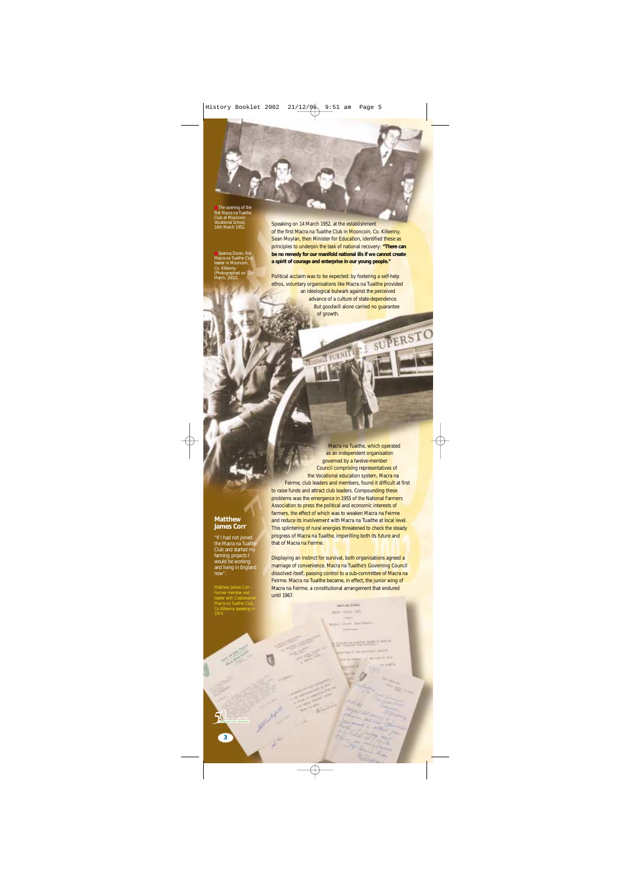first Macra na Tuaithe Club at Mooncoin Vocational School, 14th March 1952.

■ Seamus Doran, first Macra na Tuaithe Club leader in Mooncoin, Co. Kilkenny. (Photographed on 13th March, 2002).

Speaking on 14 March 1952, at the establishment of the first Macra na Tuaithe Club in Mooncoin, Co. Kilkenny, Sean Moylan, then Minister for Education, identified these as principles to underpin the task of national recovery: *"There can be no remedy for our manifold national ills if we cannot create a spirit of courage and enterprise in our young people."*

Political acclaim was to be expected: by fostering a self-help ethos, voluntary organisations like Macra na Tuaithe provided an ideological bulwark against the perceived advance of a culture of state-dependence. But goodwill alone carried no guarantee of growth.

#### **Matthew James Corr**

"If I had not joined the Macra na Tuaithe Club and started my farming projects I would be working and living in England now". The opening of the control<br>Trist Macra na Tualithe<br>Club at Mooncoin<br>Club at Mooncoin<br>Vocational School,<br>Vocational School,<br>14th March 1952.<br>**Seamus Doran, first**<br>Macra na Tualithe Club and started in Mooncoin.<br>(Photographe

Matthew James Corr - Former member and leader with Castlewarren Macra na Tuaithe Club, Co Kilkenny speaking in

**3**

as an independent organisation governed by a twelve-member Council comprising representatives of the Vocational education system, Macra na Feirme, club leaders and members, found it difficult at first to raise funds and attract club leaders. Compounding these problems was the emergence in 1955 of the National Farmers Association to press the political and economic interests of farmers, the effect of which was to weaken Macra na Feirme and reduce its involvement with Macra na Tuaithe at local level. This splintering of rural energies threatened to check the steady progress of Macra na Tuaithe, imperilling both its future and that of Macra na Feirme.

Macra na Tuaithe, which operated

SUPERST

Displaying an instinct for survival, both organisations agreed a marriage of convenience. Macra na Tuaithe's Governing Council dissolved itself, passing control to a sub-committee of Macra na Feirme. Macra na Tuaithe became, in effect, the junior wing of Macra na Feirme, a constitutional arrangement that endured until 1967.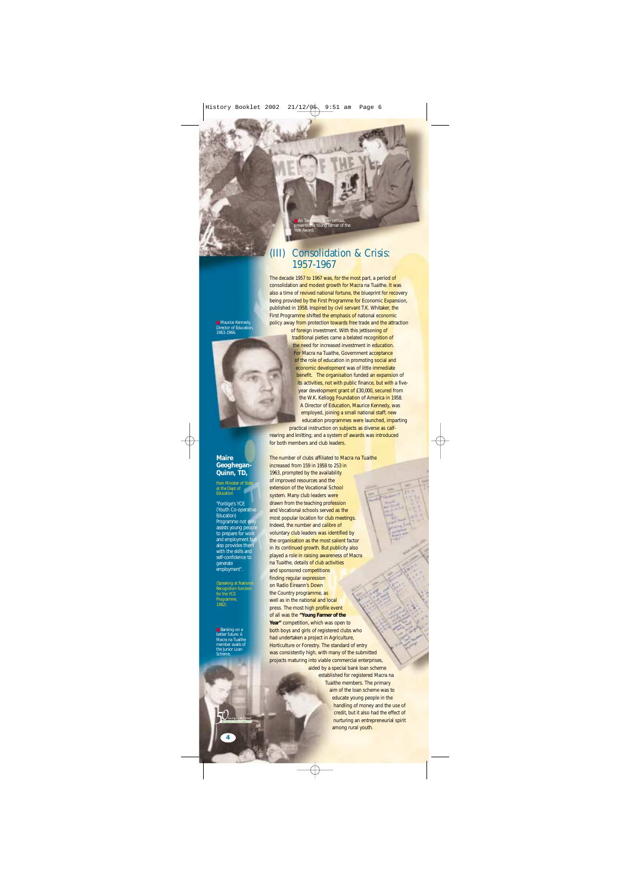■ An Taoiseach, Sean Lemass,<br>presents the Young farmer of the Year Award.

### (III) Consolidation & Crisis: 1957-1967

The decade 1957 to 1967 was, for the most part, a period of consolidation and modest growth for Macra na Tuaithe. It was also a time of revived national fortune, the blueprint for recovery being provided by the First Programme for Economic Expansion, published in 1958. Inspired by civil servant T.K. Whitaker, the First Programme shifted the emphasis of national economic policy away from protection towards free trade and the attraction

of foreign investment. With this jettisoning of traditional pieties came a belated recognition of the need for increased investment in education. For Macra na Tuaithe, Government acceptance of the role of education in promoting social and economic development was of little immediate benefit. The organisation funded an expansion of its activities, not with public finance, but with a fiveyear development grant of £30,000, secured from the W.K. Kellogg Foundation of America in 1958. A Director of Education, Maurice Kennedy, was employed, joining a small national staff; new education programmes were launched, imparting practical instruction on subjects as diverse as calfrearing and knitting; and a system of awards was introduced

Director of Education, 1963-1966.

### **Maire Geoghegan-Quinn, TD,**

then Minister of State at the Dept of Education

"Foróige's YCE (Youth Co-operativ Education) Programme not only assists young peop to prepare for work and employment but also provides them with the skills and self-confidence to generate employment". **I** Maurice Kennedy,<br>
IPMarice Kennedy,<br>
Director of Education<br>
1963-1966.<br> **Maire Geoghegan-<br>
Quinn, TD,**<br>
then Minister of Stat<br>
at the Dept of<br>
Forogramme not of<br>
Recording the State State Manustry and employment<br>
to pr

(Speaking at National<br>Recognition function Recognition function for the YCE Programme,

■ Banking on a<br>better future: A<br>Macra na Tuaithe member avails of the Junior Loan Scheme.

**4**

The number of clubs affiliated to Macra na Tuaithe increased from 159 in 1958 to 253 in 1963, prompted by the availability of improved resources and the extension of the Vocational School system. Many club leaders were drawn from the teaching profession and Vocational schools served as the most popular location for club meetings. Indeed, the number and calibre of voluntary club leaders was identified by the organisation as the most salient factor in its continued growth. But publicity also played a role in raising awareness of Macra na Tuaithe, details of club activities and sponsored competitions finding regular expression on Radio Éireann's *Down the Country* programme, as

for both members and club leaders.

well as in the national and local press. The most high profile event of all was the *"Young Farmer of the Year"* competition, which was open to both boys and girls of registered clubs who had undertaken a project in Agriculture, Horticulture or Forestry. The standard of entry was consistently high, with many of the submitted projects maturing into viable commercial enterprises, aided by a special bank loan scheme

established for registered Macra na Tuaithe members. The primary aim of the loan scheme was to educate young people in the handling of money and the use of credit, but it also had the effect of nurturing an entrepreneurial spirit among rural youth.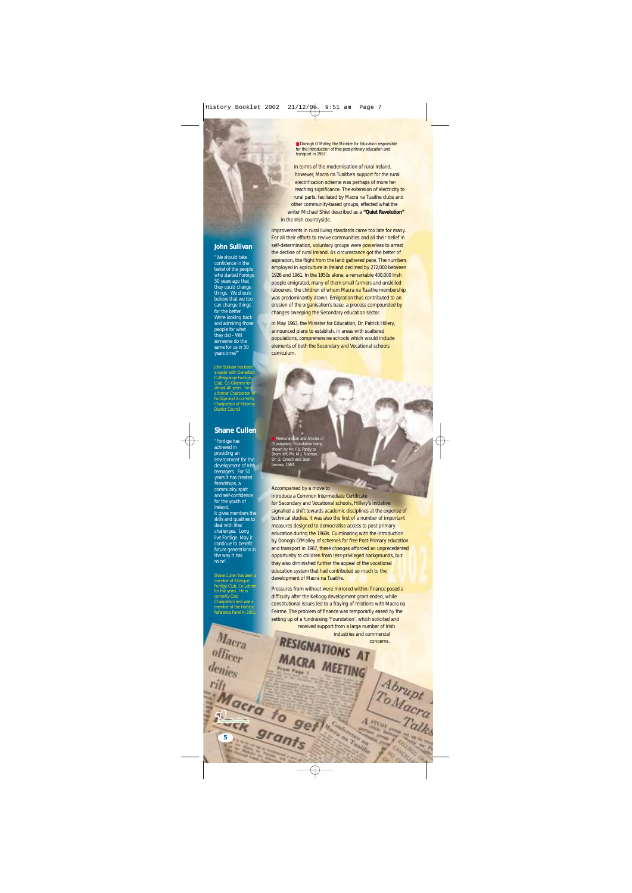**Demogh O'Malley, the Minister for Education responsible**<br>for the introduction of free post-primary education and transport in 1967.

In terms of the modernisation of rural Ireland, however, Macra na Tuaithe's support for the rural electrification scheme was perhaps of more farreaching significance. The extension of electricity to rural parts, faciliated by Macra na Tuaithe clubs and other community-based groups, effected what the writer Michael Shiel described as a *"Quiet Revolution"* in the Irish countryside.

Improvements in rural living standards came too late for many. For all their efforts to revive communities and all their belief in self-determination, voluntary groups were powerless to arrest the decline of rural Ireland. As circumstance got the better of aspiration, the flight from the land gathered pace. The numbers employed in agriculture in Ireland declined by 272,000 between 1926 and 1961. In the 1950s alone, a remarkable 400,000 Irish people emigrated, many of them small farmers and unskilled labourers, the children of whom Macra na Tuaithe membership was predominantly drawn. Emigration thus contributed to an erosion of the organisation's base, a process compounded by changes sweeping the Secondary education sector.

In May 1963, the Minister for Education, Dr. Patrick Hillery, announced plans to establish, in areas with scattered populations, comprehensive schools which would include elements of both the Secondary and Vocational schools curriculum.

"Foróige has achieved in providing an environment for the development of Irish teenagers. For 50 years it has created friendships, a community spirit and self-confidence for the youth of Ireland. It gives members the ills and qualities to deal with lifes' challenges. Long live Foróige. May it continue to benefit future generations in the way it has mine

Shane Cullen has been a member of Killargue Foróige Club, Co Leitrim for five years. He is currently Club Chairperson and was a member of the Foróige Reference Panel in 2001.

Macra officer

 $denies$ 

rih

 $\vec{\mathbf{r}}$ 

■ Memorandum and Articles of 'Fundraising' Foundation being shown by Mr. F.B. Farely to (from left) Mr. M.J. Noonan, Dr. G. Creech and Sean  $s. 1963$ 

### Accompanied by a move to

Macra to get I with the Content

introduce a Common Intermediate Certificate for Secondary and Vocational schools, Hillery's initiative signalled a shift towards academic disciplines at the expense of technical studies. It was also the first of a number of important measures designed to democratise access to post-primary education during the 1960s. Culminating with the introduction by Donogh O'Malley of schemes for free Post-Primary education and transport in 1967, these changes afforded an unprecedented opportunity to children from less-privileged backgrounds, but they also diminished further the appeal of the vocational education system that had contributed so much to the development of Macra na Tuaithe.

Pressures from without were mirrored within: finance posed a difficulty after the Kellogg development grant ended, while constitutional issues led to a fraying of relations with Macra na Feirme. The problem of finance was temporarily eased by the setting up of a fundraising 'Foundation', which solicited and received support from a large number of Irish

MACRA MEETING

**Industries and commercial**<br> **RESIGNATIONS AT** concerns.

Abrupt

To Macro

**ATU DY THIS PANTRY** 

 $\Delta_{\rm H_2}$ in.

Talk

 $\vec{r}$ 

### **John Sullivan**

"We should take confidence in the belief of the people who started Foróige 50 years ago that they could change things. We should believe that we too can change things the better We're looking back and admiring those people for what they did - Will someone do the same for us in 50 vears time?

a leader with Danesfort-Cuffesgrange Foróige Club, Co Kilkenny for almost 40 years. He is a former Chairperson of Foróige and is currently Chairperson of Kilkenny District Council. **Shane Cullen**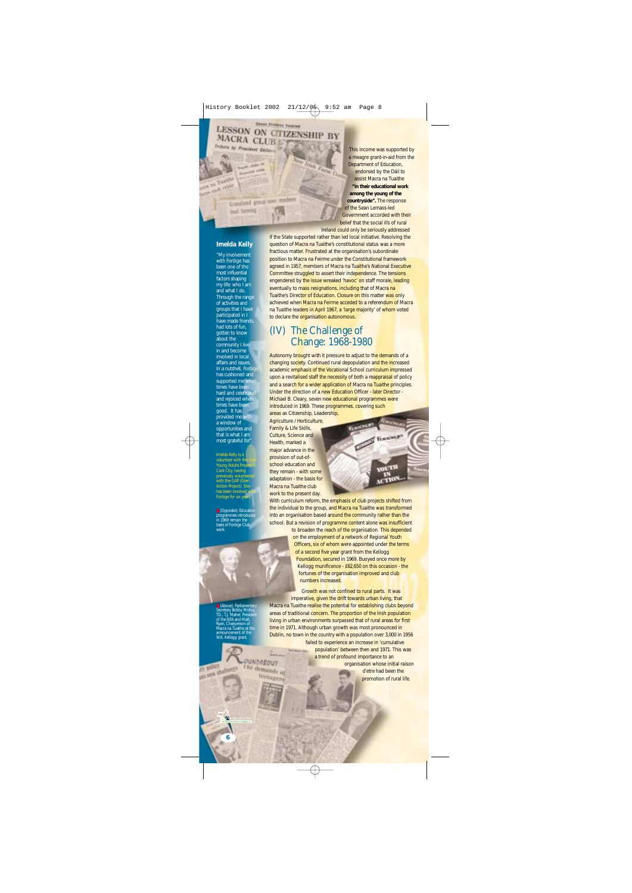This income was supported by a meagre grant-in-aid from the Department of Education, endorsed by the Dáil to assist Macra na Tuaithe *"in their educational work among the young of the countryside".* The response of the Sean Lemass-led Government accorded with their belief that the social ills of rural

#### **Imelda Kelly**

tied turning

LESSON ON CITIZENSHIP

MACRA CLUB

videor pas

Grandand group sees modern

Tribute by Pra

Tualda da extens

"My involvement with Foróige has been one of the most influential factors shaping my life: who I am nd what I do. Through the range of activities and groups that I have participated in I have made friends, had lots of fun, gotten to know about the community I live in and become involved in local affairs and issues. In a nutshell, Foróig has cushioned and supported me w times have been hard and celebra and rejoiced when times have been good. It has provided me with a window of opportunities and that is what I am most grateful for

Imelda Kelly is a volunteer with the Glen Young Adults Project in **City, having** riously volur n the GAP Action Project). She has been involved with Foróige for six years.

programmes introduced in 1969 remain the basis of Foróige Club work.

Ireland could only be seriously addressed if the State supported rather than led local initiative. Resolving the question of Macra na Tuaithe's constitutional status was a more fractious matter. Frustrated at the organisation's subordinate position to Macra na Feirme under the Constitutional framework agreed in 1957, members of Macra na Tuaithe's National Executive Committee struggled to assert their independence. The tensions engendered by the issue wreaked 'havoc' on staff morale, leading eventually to mass resignations, including that of Macra na Tuaithe's Director of Education. Closure on this matter was only achieved when Macra na Feirme acceded to a referendum of Macra na Tuaithe leaders in April 1967, a 'large majority' of whom voted to declare the organisation autonomous.

### (IV) The Challenge of Change: 1968-1980

Arian 砚

Autonomy brought with it pressure to adjust to the demands of a changing society. Continued rural depopulation and the increased academic emphasis of the Vocational School curriculum impressed upon a revitalised staff the necessity of both a reappraisal of policy and a search for a wider application of Macra na Tuaithe principles. Under the direction of a new Education Officer - later Director - Michael B. Cleary, seven new educational programmes were introduced in 1969. These programmes, covering such areas as Citizenship, Leadership,

Agriculture / Horticulture,

Family & Life Skills, Culture, Science and Health, marked a major advance in the provision of out-ofschool education and they remain - with some adaptation - the basis for Macra na Tuaithe club work to the present day.

With curriculum reform, the emphasis of club projects shifted from the individual to the group, and Macra na Tuaithe was transformed into an organisation based around the community rather than the school. But a revision of programme content alone was insufficient

to broaden the reach of the organisation. This depended on the employment of a network of Regional Youth Officers, six of whom were appointed under the terms of a second five year grant from the Kellogg Foundation, secured in 1969. Buoyed once more by Kellogg munificence - £62,650 on this occasion - the fortunes of the organisation improved and club numbers increased.

Growth was not confined to rural parts. It was imperative, given the drift towards urban living, that Macra na Tuaithe realise the potential for establishing clubs beyond areas of traditional concern. The proportion of the Irish population living in urban environments surpassed that of rural areas for first time in 1971. Although urban growth was most pronounced in Dublin, no town in the country with a population over 3,000 in 1956 failed to experience an increase in 'cumulative population' between then and 1971. This was a trend of profound importance to an

organisation whose initial raison d'etre had been the promotion of rural life.

■ (Above): Parliamentary Secretary Bobby Molloy, TD., T.J. Maher, President<br>of the NFA and Matt Ryan, Chairperson of Macra na Tuaithe at the announcement of the Copposite): Education<br>programmes introduced<br>in 1969 remain the<br>basis of Foroige Club<br>work.<br>Consider the MFA and Matt<br>Secretary Bobby Molloy,<br>Macra na Tualithe at the<br>MAcra na Tualithe at the<br>MAcra na Tualithe at the<br>announ

**6**

PUNDABOUT ne demuzido or teenage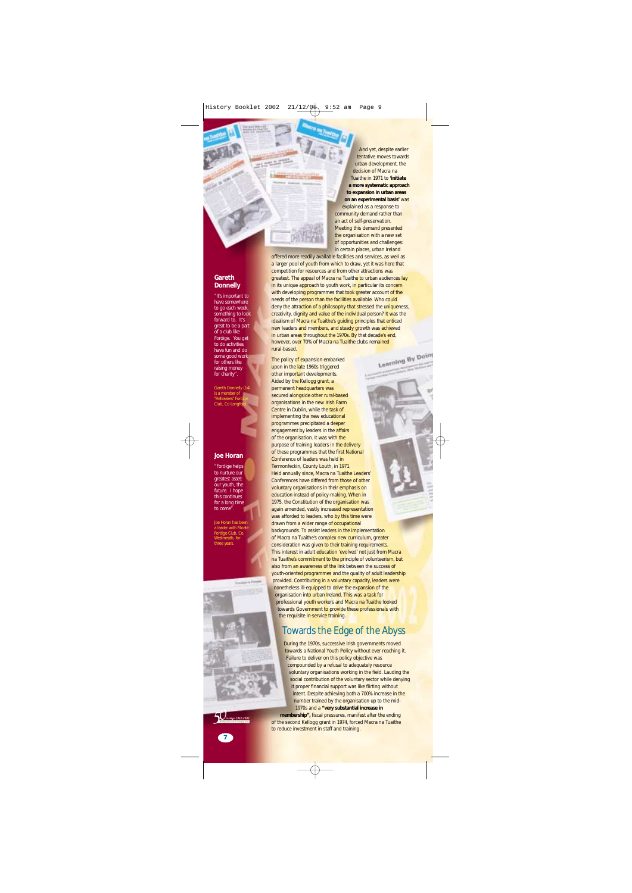And yet, despite earlier tentative moves towards urban development, the decision of Macra na Tuaithe in 1971 to *'initiate a more systematic approach to expansion in urban areas on an experimental basis'* was explained as a response to community demand rather than an act of self-preservation. Meeting this demand presented the organisation with a new set of opportunities and challenges: in certain places, urban Ireland

offered more readily available facilities and services, as well as a larger pool of youth from which to draw, yet it was here that competition for resources and from other attractions was greatest. The appeal of Macra na Tuaithe to urban audiences lay in its unique approach to youth work, in particular its concern with developing programmes that took greater account of the needs of the person than the facilities available. Who could deny the attraction of a philosophy that stressed the uniqueness, creativity, dignity and value of the individual person? It was the idealism of Macra na Tuaithe's guiding principles that enticed new leaders and members, and steady growth was achieved in urban areas throughout the 1970s. By that decade's end, however, over 70% of Macra na Tuaithe clubs remained rural-based.

Learning By Do The policy of expansion embarked upon in the late 1960s triggered other important developments. Aided by the Kellogg grant, a permanent headquarters was secured alongside other rural-based organisations in the new Irish Farm Centre in Dublin, while the task of implementing the new educational programmes precipitated a deeper engagement by leaders in the affairs of the organisation. It was with the purpose of training leaders in the delivery of these programmes that the first National Conference of leaders was held in Termonfeckin, County Louth, in 1971. Held annually since, Macra na Tuaithe Leaders' Conferences have differed from those of other voluntary organisations in their emphasis on education instead of policy-making. When in 1975, the Constitution of the organisation was again amended, vastly increased representation was afforded to leaders, who by this time were drawn from a wider range of occupational backgrounds. To assist leaders in the implementation of Macra na Tuaithe's complex new curriculum, greater consideration was given to their training requirements. This interest in adult education 'evolved' not just from Macra na Tuaithe's commitment to the principle of volunteerism, but also from an awareness of the link between the success of youth-oriented programmes and the quality of adult leadership provided. Contributing in a voluntary capacity, leaders were nonetheless ill-equipped to drive the expansion of the organisation into urban Ireland. This was a task for professional youth workers and Macra na Tuaithe looked towards Government to provide these professionals with the requisite in-service training.

### Towards the Edge of the Abyss

During the 1970s, successive Irish governments moved towards a National Youth Policy without ever reaching it. Failure to deliver on this policy objective was compounded by a refusal to adequately resource voluntary organisations working in the field. Lauding the social contribution of the voluntary sector while denying it proper financial support was like flirting without intent. Despite achieving both a 700% increase in the number trained by the organisation up to the mid-1970s and a *"very substantial increase in membership",* fiscal pressures, manifest after the ending of the second Kellogg grant in 1974, forced Macra na Tuaithe

to reduce investment in staff and training.

#### **Gareth Donnelly**

"It's important to have somewhere to go each week something to look forward to. It's great to be a part of a club like Foróige. You get to do activities, have fun and do some good work for others like raising money for charity".

Gareth Donnelly (14) is a member of "Hellraisers" Foróige ih, Co Long

### **Joe Horan**

"Foróige helps to nurture our greatest asset: our youth, the future. I hope this continues for a long time to come

e Horan has be a leader with Moate Foróige Club, Co. eath three years.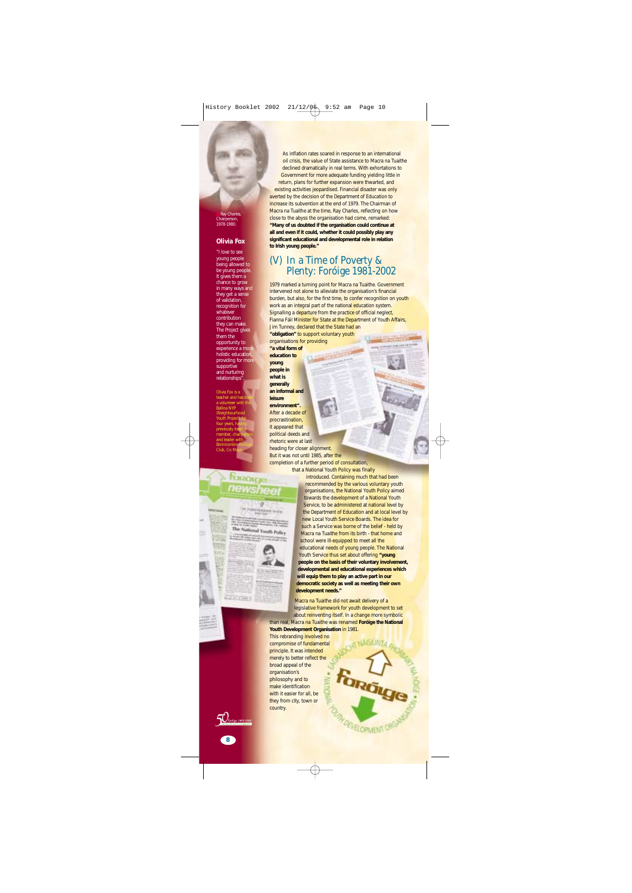Chairperson, 1978-1980.

### **Olivia Fox**

"I love to se young people being allowed to be young people. It gives them a chance to grow in many ways and they get a sense of validation, recognition for whatever contribution they can make. The Project gives them the opportunity to experience a more holistic education, providing for more supportive and nurturing **relationships** Ray Charles,<br>Chairperson,<br>Chairperson,<br>1978-1980.<br> **Club in Foury Comment Constrainers (Example Scheme Sydnap By The Scheme Scheme Scheme Scheme Scheme Scheme Scheme Scheme Scheme Scheme Scheme Scheme Scheme Scheme Scheme** 

Olivia Fox is a er and has b a volunteer with the a NYP (Neighbourhood Youth Project) for four years, having previously been a member, chairperson and leader with Bonniconlon Foróige

> o mini

The Natio

先生

of Yusath Palicy

As inflation rates soared in response to an international oil crisis, the value of State assistance to Macra na Tuaithe declined dramatically in real terms. With exhortations to Government for more adequate funding yielding little in return, plans for further expansion were thwarted, and existing activities jeopardised. Financial disaster was only averted by the decision of the Department of Education to increase its subvention at the end of 1979. The Chairman of Macra na Tuaithe at the time, Ray Charles, reflecting on how close to the abyss the organisation had come, remarked: *"Many of us doubted if the organisation could continue at all and even if it could, whether it could possibly play any significant educational and developmental role in relation to Irish young people."*

### (V) In a Time of Poverty & Plenty: Foróige 1981-2002

1979 marked a turning point for Macra na Tuaithe. Government intervened not alone to alleviate the organisation's financial burden, but also, for the first time, to confer recognition on youth work as an integral part of the national education system. Signalling a departure from the practice of official neglect, Fianna Fáil Minister for State at the Department of Youth Affairs, Jim Tunney, declared that the State had an *"obligation"* to support voluntary youth organisations for providing *"a vital form of education to young people in what is generally an informal and*

#### *leisure environment".* After a decade of procrastination, it appeared that political deeds and rhetoric were at last

heading for closer alignment. But it was not until 1985, after the completion of a further period of consultation,

that a National Youth Policy was finally introduced. Containing much that had been recommended by the various voluntary youth organisations, the National Youth Policy aimed towards the development of a National Youth Service, to be administered at national level by the Department of Education and at local level by new Local Youth Service Boards. The idea for such a Service was borne of the belief - held by

Macra na Tuaithe from its birth - that home and school were ill-equipped to meet all the educational needs of young people. The National Youth Service thus set about offering *"young people on the basis of their voluntary involvement, developmental and educational experiences which will equip them to play an active part in our democratic society as well as meeting their own development needs."*

Macra na Tuaithe did not await delivery of a legislative framework for youth development to set about reinventing itself. In a change more symbolic

IRL

**OEVELOPMENT OF** 

than real, Macra na Tuaithe was renamed *Foróige the National Youth Development Organisation* in 1981. This rebranding involved no

compromise of fundamental principle. It was intended merely to better reflect the broad appeal of the organisation's philosophy and to make identification with it easier for all, be they from city, town or country.

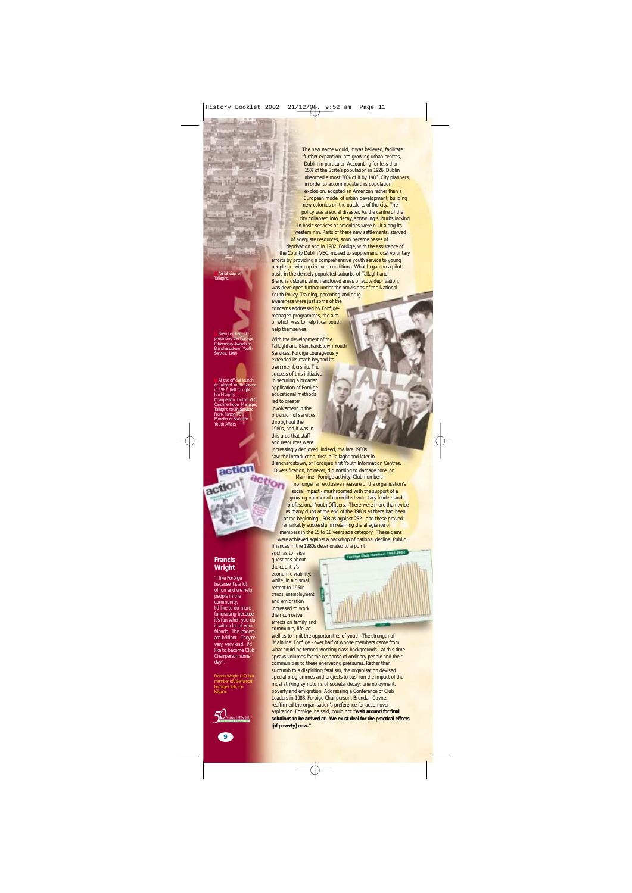Tallaght.

Brian Le presenting the Foróige Citizenship Awards at Blanchardstown Youth Service, 1990.

■ At the official launch of Tallaght Youth Service in 1987. (left to right): Jim Murphy, Chairperson, Dublin VEC; Caroline Hope, Manager, Tallaght Youth Service; Frank Fahey, TD., Minister of State for Youth Affairs.

action action

> **Francis Wright**

"I like Foróige because it's a lot of fun and we help people in the community. I'd like to do more fundraising becaus it's fun when you do it with a lot of your friends. The leaders are brilliant. They're very, very kind. I'd like to become Club Chairperson some day. The Translation of Tallaght.<br>
Tallaght.<br>
Tallaght.<br>
Tallaght.<br>
Tallaght.<br>
Tallaght.<br>
Eliztenship Awat Blanchardstown<br>
Service, 1990.<br>
At the official Blanchardstown<br>
Service, 1990.<br>
At the official Mouth Share States in th

Francis Wright (12) is a member of Allenwood Foróige Club, Co



**9**

The new name would, it was believed, facilitate further expansion into growing urban centres, Dublin in particular. Accounting for less than 15% of the State's population in 1926, Dublin absorbed almost 30% of it by 1986. City planners, in order to accommodate this population explosion, adopted an American rather than a European model of urban development, building new colonies on the outskirts of the city. The policy was a social disaster. As the centre of the city collapsed into decay, sprawling suburbs lacking in basic services or amenities were built along its western rim. Parts of these new settlements, starved of adequate resources, soon became oases of

deprivation and in 1982, Foróige, with the assistance of the County Dublin VEC, moved to supplement local voluntary efforts by providing a comprehensive youth service to young people growing up in such conditions. What began on a pilot basis in the densely populated suburbs of Tallaght and Blanchardstown, which enclosed areas of acute deprivation, was developed further under the provisions of the National Youth Policy. Training, parenting and drug

awareness were just some of the concerns addressed by Foróigemanaged programmes, the aim of which was to help local youth help themselves.

With the development of the Tallaght and Blanchardstown Youth Services, Foróige courageously extended its reach beyond its own membership. The success of this initiative in securing a broader application of Foróige educational methods led to greater involvement in the provision of services throughout the 1980s, and it was in this area that staff and resources were

increasingly deployed. Indeed, the late 1980s saw the introduction, first in Tallaght and later in Blanchardstown, of Foróige's first Youth Information Centres.

Diversification, however, did nothing to damage core, or<br>
Mainline', Foroige activity. Club numbers<br>
The longer an exclusive measure of the organization 'Mainline', Foróige activity. Club numbers no longer an exclusive measure of the organisation's social impact - mushroomed with the support of a growing number of committed voluntary leaders and professional Youth Officers. There were more than twice as many clubs at the end of the 1980s as there had been at the beginning - 508 as against 252 - and these proved remarkably successful in retaining the allegiance of members in the 15 to 18 years age category. These gains were achieved against a backdrop of national decline. Public

finances in the 1980s deteriorated to a point such as to raise questions about the country's economic viability, while, in a dismal retreat to 1950s trends, unemployment and emigration increased to work their corrosive effects on family and community life, as

well as to limit the opportunities of youth. The strength of 'Mainline' Foróige - over half of whose members came from what could be termed working class backgrounds - at this time speaks volumes for the response of ordinary people and their communities to these enervating pressures. Rather than succumb to a dispiriting fatalism, the organisation devised special programmes and projects to cushion the impact of the most striking symptoms of societal decay: unemployment, poverty and emigration. Addressing a Conference of Club Leaders in 1988, Foróige Chairperson, Brendan Coyne, reaffirmed the organisation's preference for action over aspiration. Foróige, he said, could not *"wait around for final solutions to be arrived at. We must deal for the practical effects {of poverty} now."*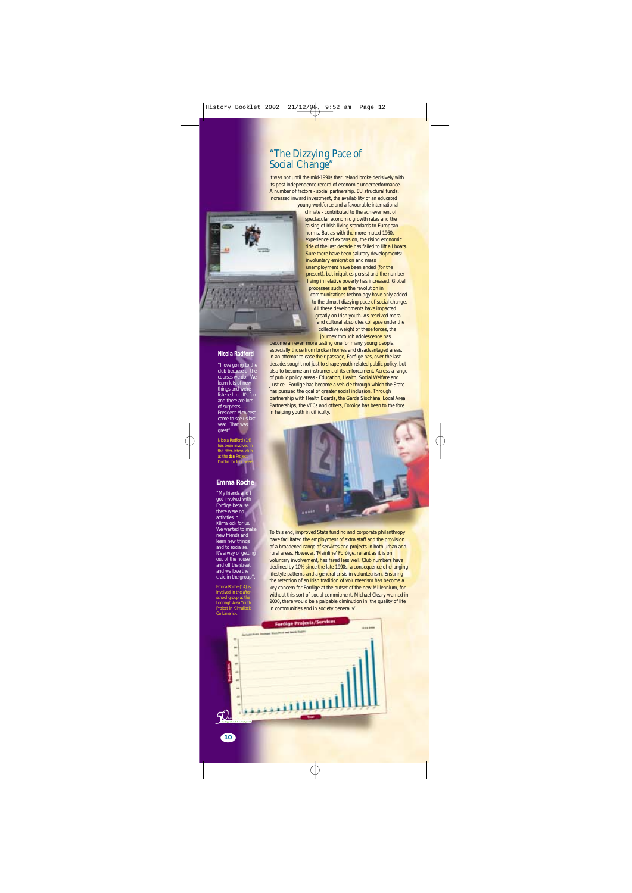### "The Dizzying Pace of Social Change"

It was not until the mid-1990s that Ireland broke decisively with its post-Independence record of economic underperformance. A number of factors - social partnership, EU structural funds, increased inward investment, the availability of an educated



young workforce and a favourable international climate - contributed to the achievement of spectacular economic growth rates and the raising of Irish living standards to European norms. But as with the more muted 1960s experience of expansion, the rising economic tide of the last decade has failed to lift all boats. Sure there have been salutary developments: involuntary emigration and mass unemployment have been ended (for the present), but iniquities persist and the number living in relative poverty has increased. Global processes such as the revolution in communications technology have only added

to the almost dizzying pace of social change. All these developments have impacted greatly on Irish youth. As received moral and cultural absolutes collapse under the collective weight of these forces, the journey through adolescence has

**Nicola Radford**

"I love going to the club because of the courses we do. We learn lots of new things and w listened to. It's fur and there are lots of surprises. President McAleese came to see us last year. That was great".

Nicola Radford (14) has been involved in the after-school club at the *dán* Project, Dublin for four years.

#### **Emma Roche**

"My friends and I got involved with Foróige because there were no activities in

Kilmallock for us. We wanted to ma new friends and learn new things and to socialise. It's a way of getting out of the house and off the street and we love the craic in the group

na Roche (14) involved in the after-school group at the Loobagh Area Youth Project in Kilmallock, Co Limerick. become an even more testing one for many young people, especially those from broken homes and disadvantaged areas. In an attempt to ease their passage, Foróige has, over the last decade, sought not just to shape youth-related public policy, but also to become an instrument of its enforcement. Across a range of public policy areas - Education, Health, Social Welfare and Justice - Foróige has become a vehicle through which the State has pursued the goal of greater social inclusion. Through partnership with Health Boards, the Garda Síochána, Local Area Partnerships, the VECs and others, Foróige has been to the fore in helping youth in difficulty.



To this end, improved State funding and corporate philanthropy have facilitated the employment of extra staff and the provision of a broadened range of services and projects in both urban and rural areas. However, 'Mainline' Foróige, reliant as it is on voluntary involvement, has fared less well. Club numbers have declined by 10% since the late-1990s, a consequence of changing lifestyle patterns and a general crisis in volunteerism. Ensuring the retention of an Irish tradition of volunteerism has become a key concern for Foróige at the outset of the new Millennium, for without this sort of social commitment, Michael Cleary warned in 2000, there would be a palpable diminution in 'the quality of life in communities and in society generally'.

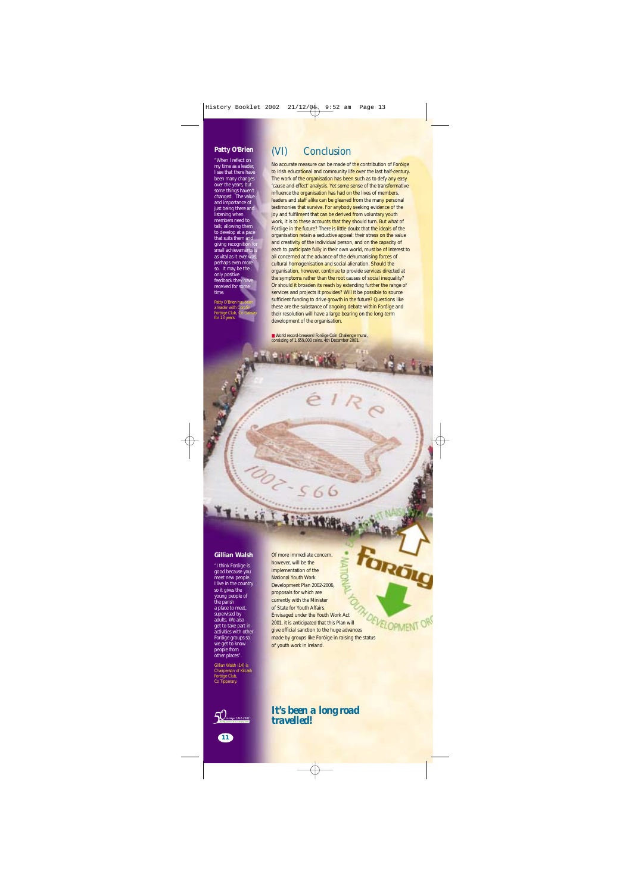#### **Patty O'Brien**

"When I reflect on my time as a leader I see that there have been many changes over the years, but some things haven't changed. The value and importance of just being there and listening when members need to talk, allowing them to develop at a pace that suits them and giving recognition small achievement as vital as it ever w perhaps even more so. It may be the only positive feedback they have received for some time.

Patty O'Bri a leader with Corofin Foróige Club, Co Galway for 13 years.

# (VI) Conclusion

No accurate measure can be made of the contribution of Foróige to Irish educational and community life over the last half-century. The work of the organisation has been such as to defy any easy 'cause and effect' analysis. Yet some sense of the transformative influence the organisation has had on the lives of members, leaders and staff alike can be gleaned from the many personal testimonies that survive. For anybody seeking evidence of the joy and fulfilment that can be derived from voluntary youth work, it is to these accounts that they should turn. But what of Foróige in the future? There is little doubt that the ideals of the organisation retain a seductive appeal: their stress on the value and creativity of the individual person, and on the capacity of each to participate fully in their own world, must be of interest to all concerned at the advance of the dehumanising forces of cultural homogenisation and social alienation. Should the organisation, however, continue to provide services directed at the symptoms rather than the root causes of social inequality? Or should it broaden its reach by extending further the range of services and projects it provides? Will it be possible to source sufficient funding to drive growth in the future? Questions like these are the substance of ongoing debate within Foróige and their resolution will have a large bearing on the long-term development of the organisation.

 $140$ 

■ World record-breakers! Foróige Coin Challenge mural,<br>consisting of 1,659,000 coins, 4th December 2001.

#### **Gillian Walsh**

"I think Foróige is good because you meet new people. I live in the country so it gives the young people of the parish a place to meet, supervised by adults. We also get to take part in activities with other Foróige groups so we get to know people from other places".

Gillian Walsh (14) is Chairperson of Kil Foróige Club,<br>Co Tipperary.



**11**

Of more immediate concern, ORG however, will be the implementation of the National Youth Work Development Plan 2002-2006, proposals for which are currently with the Minister of State for Youth Affairs. Envisaged under the Youth Work Act Envisaged under the Youn Work Co.<br>2001, it is anticipated that this Plan will<br>give official sanction to the huge advances<br>made by groups like Foróige in raising the status 2001, it is anticipated that this Plan will give official sanction to the huge advances of youth work in Ireland.

*It's been a long road travelled!*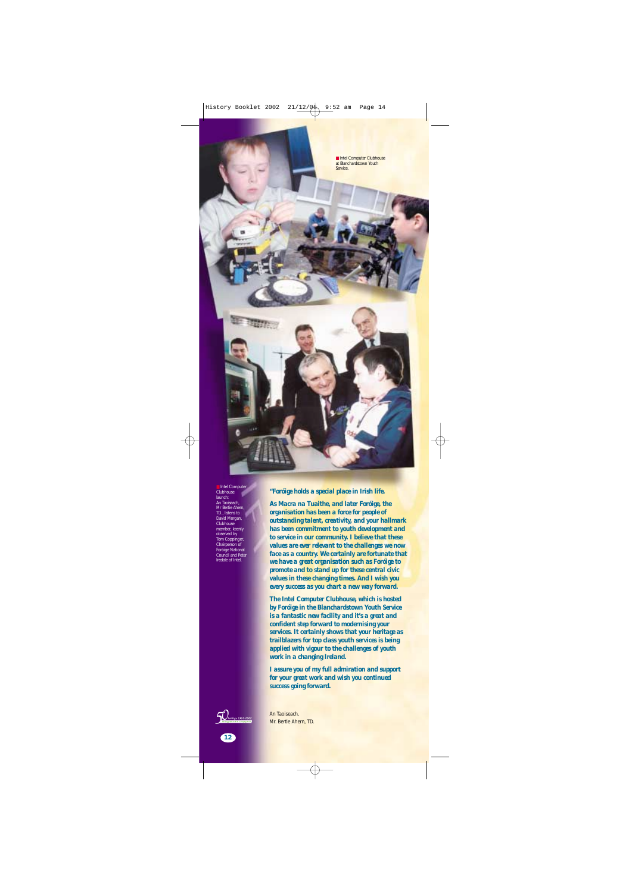■ Intel Computer Clubhouse<br>at Blanchardstown Youth Service.

Intel Co Clubhouse launch: An Taoiseach, Mr Bertie Ahern, TD., listens to David Morgan, Clubhouse<br>member, keenly member, keenly observed by Tom Coppinger, Chairperson of Foróige National Council and Peter Iredale of Intel.

### *"Foróige holds a special place in Irish life.*

*As Macra na Tuaithe, and later Foróige, the organisation has been a force for people of outstanding talent, creativity, and your hallmark has been commitment to youth development and to service in our community. I believe that these values are ever relevant to the challenges we now face as a country. We certainly are fortunate that we have a great organisation such as Foróige to promote and to stand up for these central civic values in these changing times. And I wish you every success as you chart a new way forward.*

*The Intel Computer Clubhouse, which is hosted by Foróige in the Blanchardstown Youth Service is a fantastic new facility and it's a great and confident step forward to modernising your services. It certainly shows that your heritage as trailblazers for top class youth services is being applied with vigour to the challenges of youth work in a changing Ireland.*

*I assure you of my full admiration and support for your great work and wish you continued success going forward.*

An Taoiseach, Mr. Bertie Ahern, TD.

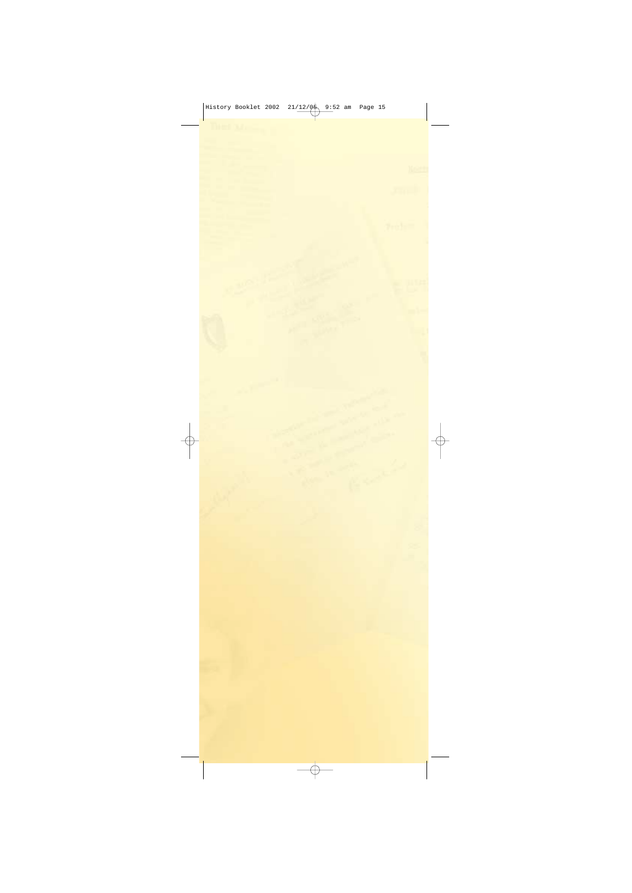